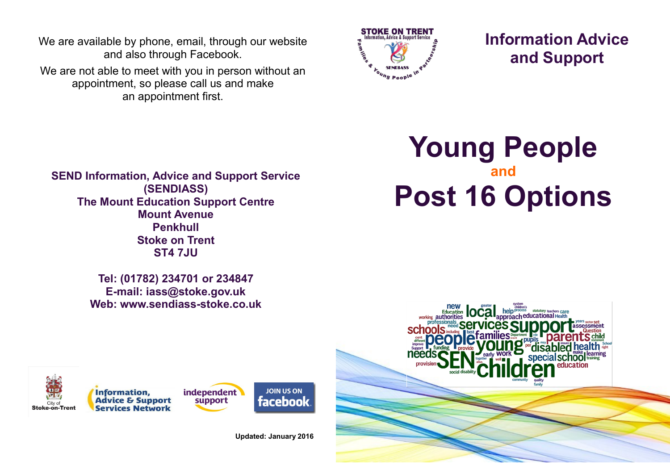We are available by phone, email, through our website and also through Facebook.

We are not able to meet with you in person without an appointment, so please call us and make an appointment first.



**Information Advice and Support**

**SEND Information, Advice and Support Service (SENDIASS) The Mount Education Support Centre Mount Avenue Penkhull Stoke on Trent ST4 7JU**

> **Tel: (01782) 234701 or 234847 E-mail: iass@stoke.gov.uk Web: www.sendiass-stoke.co.uk**











**Updated: January 2016**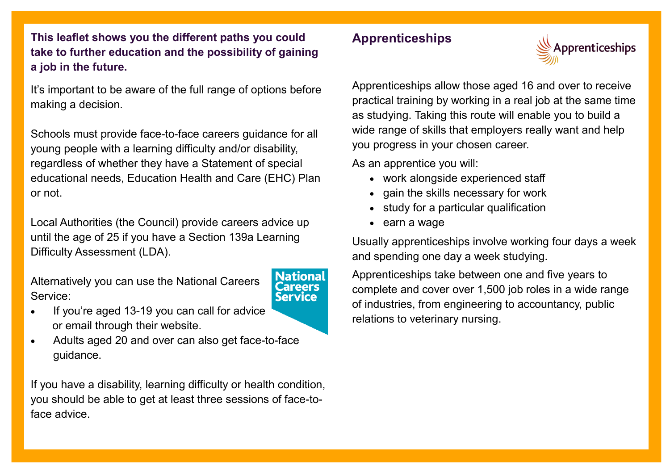**This leaflet shows you the different paths you could take to further education and the possibility of gaining a job in the future.**

It's important to be aware of the full range of options before making a decision.

Schools must provide face-to-face careers guidance for all young people with a learning difficulty and/or disability, regardless of whether they have a Statement of special educational needs, Education Health and Care (EHC) Plan or not.

Local Authorities (the Council) provide careers advice up until the age of 25 if you have a Section 139a Learning Difficulty Assessment (LDA).

Alternatively you can use the National Careers Service:

#### **Nationa** Careers **Service**

- If you're aged 13-19 you can call for advice or email through their website.
- Adults aged 20 and over can also get face-to-[face](http://www.google.co.uk/url?sa=i&rct=j&q=&esrc=s&frm=1&source=images&cd=&cad=rja&uact=8&ved=0ahUKEwiIwt_e2q7MAhUELMAKHWfXDfsQjRwIBw&url=http%3A%2F%2Fwww.ccb.ac.uk%2Fpublic%2Fcollege-life%2Fnational-careers&bvm=bv.120551593,d.ZGg&psig=AFQjCNE7Y0bvZJxyur6D)  guidance.

If you have a disability, learning difficulty or health condition, you should be able to get at least three sessions of face-toface advice.

## **Apprenticeships**



Apprenticeships allow those aged 16 and over to receive practical training by working in a real job at the same time as studying. Taking this route will enable you to build a wide range of skills that employers really want and help you progress in your chosen career.

As an apprentice you will:

- work alongside experienced staff
- gain the skills necessary for work
- study for a particular qualification
- earn a wage

Usually apprenticeships involve working four days a week and spending one day a week studying.

Apprenticeships take between one and five years to complete and cover over 1,500 job roles in a wide range of industries, from engineering to accountancy, public relations to veterinary nursing.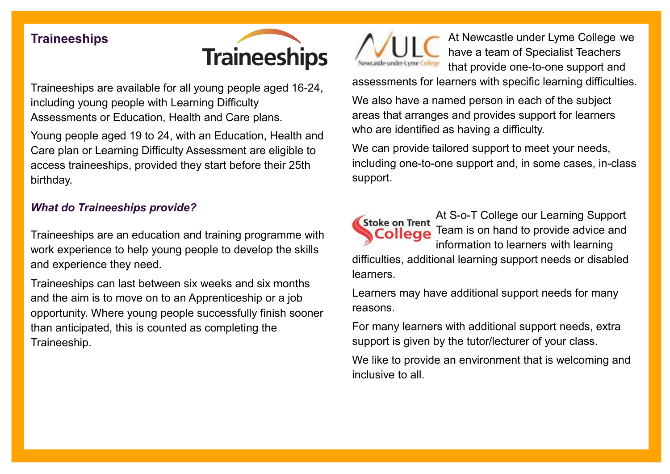## **Traineeships**



Traineeships are available for all young people aged 16-24, including young people with Learning Difficulty Assessments or Education, Health and Care plans.

Young people aged 19 to 24, with an Education, Health and Care plan or Learning Difficulty Assessment are eligible to access traineeships, provided they start before their 25th birthday.

### *What do Traineeships provide?*

Traineeships are an education and training programme with work experience to help young people to develop the skills and experience they need.

Traineeships can last between six weeks and six months and the aim is to move on to an Apprenticeship or a job opportunity. Where young people successfully finish sooner than anticipated, this is counted as completing the Traineeship.



At Newcastle under Lyme College we have a team of Specialist Teachers that provide one-to-one support and

assessments for learners with specific learning difficulties.

We also have a named person in each of the subject areas that arranges and provides support for learners who are identified as having a difficulty.

We can provide tailored support to meet your needs, including one-to-one support and, in some cases, in-class support.

At S-o-T College our Learning Support **Stoke on Trent** Team is on hand to provide advice and College information to learners with learning difficulties, additional learning support needs or disabled learners.

Learners may have additional support needs for many reasons.

For many learners with additional support needs, extra support is given by the tutor/lecturer of your class.

We like to provide an environment that is welcoming and inclusive to all.